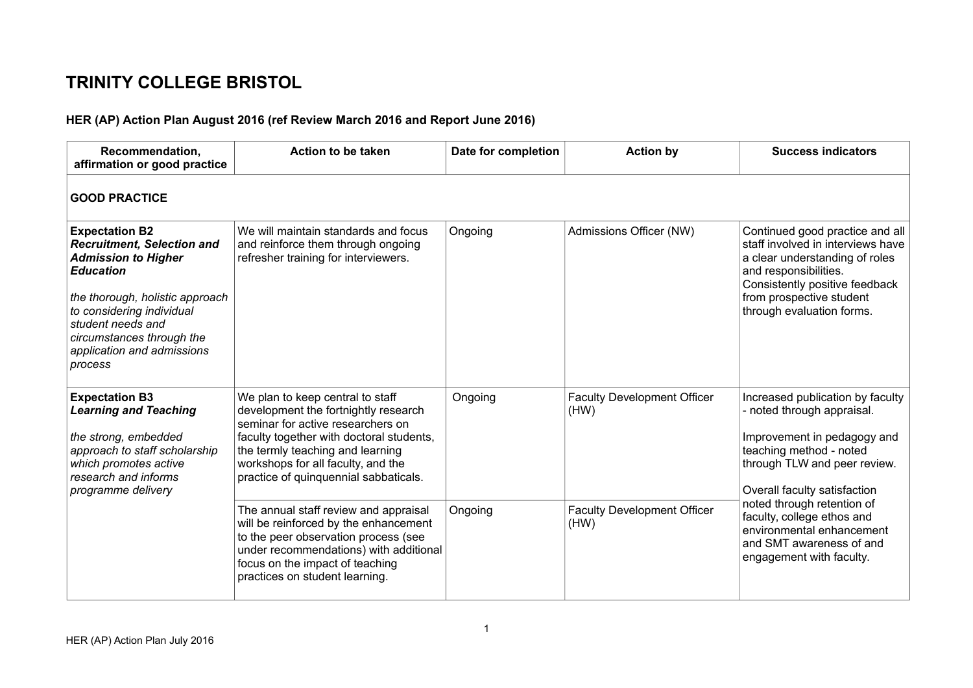## **TRINITY COLLEGE BRISTOL**

## **HER (AP) Action Plan August 2016 (ref Review March 2016 and Report June 2016)**

| Recommendation,<br>affirmation or good practice                                                                                                                                                                                                                         | Action to be taken                                                                                                                                                                                                                                                           | Date for completion | <b>Action by</b>                           | <b>Success indicators</b>                                                                                                                                                                                                                                                                                                                 |
|-------------------------------------------------------------------------------------------------------------------------------------------------------------------------------------------------------------------------------------------------------------------------|------------------------------------------------------------------------------------------------------------------------------------------------------------------------------------------------------------------------------------------------------------------------------|---------------------|--------------------------------------------|-------------------------------------------------------------------------------------------------------------------------------------------------------------------------------------------------------------------------------------------------------------------------------------------------------------------------------------------|
| <b>GOOD PRACTICE</b>                                                                                                                                                                                                                                                    |                                                                                                                                                                                                                                                                              |                     |                                            |                                                                                                                                                                                                                                                                                                                                           |
| <b>Expectation B2</b><br><b>Recruitment, Selection and</b><br><b>Admission to Higher</b><br><b>Education</b><br>the thorough, holistic approach<br>to considering individual<br>student needs and<br>circumstances through the<br>application and admissions<br>process | We will maintain standards and focus<br>and reinforce them through ongoing<br>refresher training for interviewers.                                                                                                                                                           | Ongoing             | Admissions Officer (NW)                    | Continued good practice and all<br>staff involved in interviews have<br>a clear understanding of roles<br>and responsibilities.<br>Consistently positive feedback<br>from prospective student<br>through evaluation forms.                                                                                                                |
| <b>Expectation B3</b><br><b>Learning and Teaching</b><br>the strong, embedded<br>approach to staff scholarship<br>which promotes active<br>research and informs<br>programme delivery                                                                                   | We plan to keep central to staff<br>development the fortnightly research<br>seminar for active researchers on<br>faculty together with doctoral students,<br>the termly teaching and learning<br>workshops for all faculty, and the<br>practice of quinquennial sabbaticals. | Ongoing             | <b>Faculty Development Officer</b><br>(HW) | Increased publication by faculty<br>- noted through appraisal.<br>Improvement in pedagogy and<br>teaching method - noted<br>through TLW and peer review.<br>Overall faculty satisfaction<br>noted through retention of<br>faculty, college ethos and<br>environmental enhancement<br>and SMT awareness of and<br>engagement with faculty. |
|                                                                                                                                                                                                                                                                         | The annual staff review and appraisal<br>will be reinforced by the enhancement<br>to the peer observation process (see<br>under recommendations) with additional<br>focus on the impact of teaching<br>practices on student learning.                                        | Ongoing             | <b>Faculty Development Officer</b><br>(HW) |                                                                                                                                                                                                                                                                                                                                           |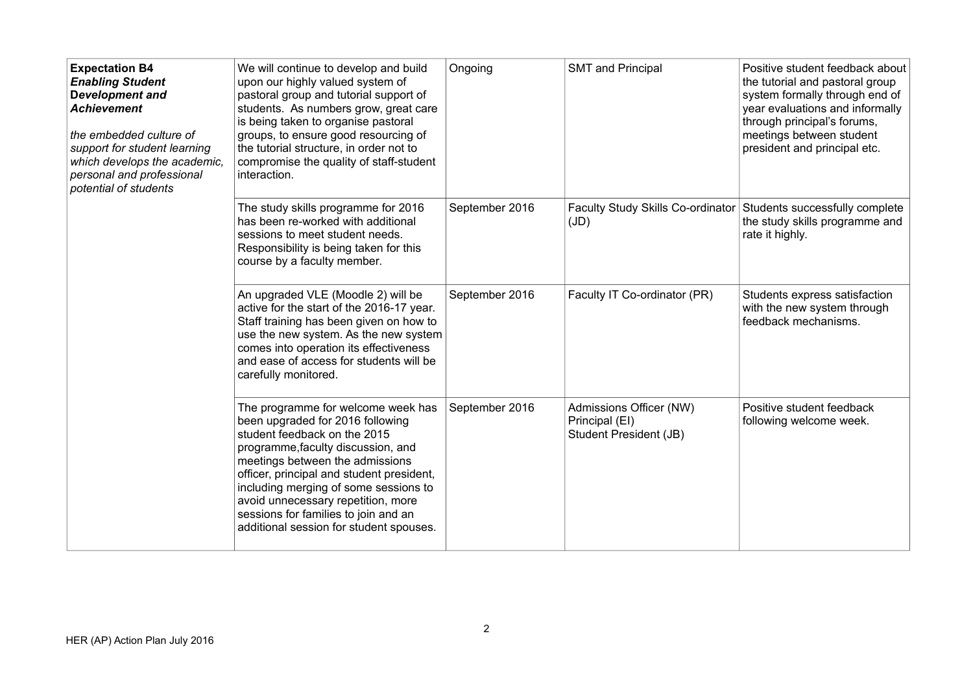| <b>Expectation B4</b><br><b>Enabling Student</b><br>Development and<br><b>Achievement</b><br>the embedded culture of<br>support for student learning<br>which develops the academic,<br>personal and professional<br>potential of students | We will continue to develop and build<br>upon our highly valued system of<br>pastoral group and tutorial support of<br>students. As numbers grow, great care<br>is being taken to organise pastoral<br>groups, to ensure good resourcing of<br>the tutorial structure, in order not to<br>compromise the quality of staff-student<br>interaction.                                              | Ongoing        | <b>SMT</b> and Principal                                                   | Positive student feedback about<br>the tutorial and pastoral group<br>system formally through end of<br>year evaluations and informally<br>through principal's forums,<br>meetings between student<br>president and principal etc. |
|--------------------------------------------------------------------------------------------------------------------------------------------------------------------------------------------------------------------------------------------|------------------------------------------------------------------------------------------------------------------------------------------------------------------------------------------------------------------------------------------------------------------------------------------------------------------------------------------------------------------------------------------------|----------------|----------------------------------------------------------------------------|------------------------------------------------------------------------------------------------------------------------------------------------------------------------------------------------------------------------------------|
|                                                                                                                                                                                                                                            | The study skills programme for 2016<br>has been re-worked with additional<br>sessions to meet student needs.<br>Responsibility is being taken for this<br>course by a faculty member.                                                                                                                                                                                                          | September 2016 | Faculty Study Skills Co-ordinator Students successfully complete<br>(JD)   | the study skills programme and<br>rate it highly.                                                                                                                                                                                  |
|                                                                                                                                                                                                                                            | An upgraded VLE (Moodle 2) will be<br>active for the start of the 2016-17 year.<br>Staff training has been given on how to<br>use the new system. As the new system<br>comes into operation its effectiveness<br>and ease of access for students will be<br>carefully monitored.                                                                                                               | September 2016 | Faculty IT Co-ordinator (PR)                                               | Students express satisfaction<br>with the new system through<br>feedback mechanisms.                                                                                                                                               |
|                                                                                                                                                                                                                                            | The programme for welcome week has<br>been upgraded for 2016 following<br>student feedback on the 2015<br>programme, faculty discussion, and<br>meetings between the admissions<br>officer, principal and student president,<br>including merging of some sessions to<br>avoid unnecessary repetition, more<br>sessions for families to join and an<br>additional session for student spouses. | September 2016 | Admissions Officer (NW)<br>Principal (EI)<br><b>Student President (JB)</b> | Positive student feedback<br>following welcome week.                                                                                                                                                                               |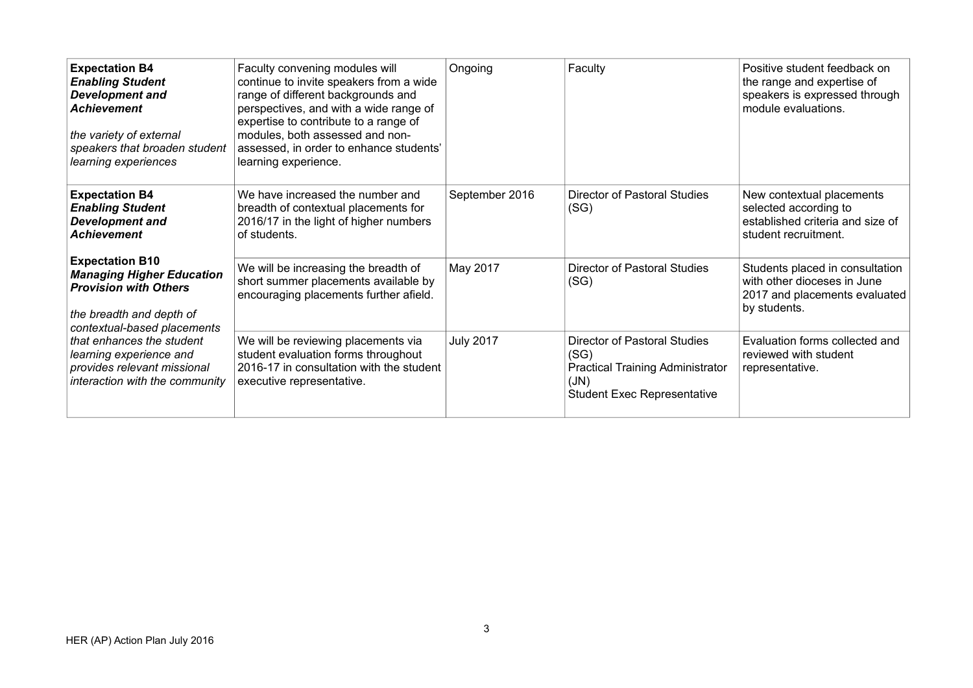| <b>Expectation B4</b><br><b>Enabling Student</b><br><b>Development and</b><br><b>Achievement</b><br>the variety of external<br>speakers that broaden student<br>learning experiences                                                                                           | Faculty convening modules will<br>continue to invite speakers from a wide<br>range of different backgrounds and<br>perspectives, and with a wide range of<br>expertise to contribute to a range of<br>modules, both assessed and non-<br>assessed, in order to enhance students'<br>learning experience. | Ongoing          | Faculty                                                                                                                       | Positive student feedback on<br>the range and expertise of<br>speakers is expressed through<br>module evaluations. |
|--------------------------------------------------------------------------------------------------------------------------------------------------------------------------------------------------------------------------------------------------------------------------------|----------------------------------------------------------------------------------------------------------------------------------------------------------------------------------------------------------------------------------------------------------------------------------------------------------|------------------|-------------------------------------------------------------------------------------------------------------------------------|--------------------------------------------------------------------------------------------------------------------|
| <b>Expectation B4</b><br><b>Enabling Student</b><br><b>Development and</b><br><b>Achievement</b>                                                                                                                                                                               | We have increased the number and<br>breadth of contextual placements for<br>2016/17 in the light of higher numbers<br>of students.                                                                                                                                                                       | September 2016   | <b>Director of Pastoral Studies</b><br>(SG)                                                                                   | New contextual placements<br>selected according to<br>established criteria and size of<br>student recruitment.     |
| <b>Expectation B10</b><br><b>Managing Higher Education</b><br><b>Provision with Others</b><br>the breadth and depth of<br>contextual-based placements<br>that enhances the student<br>learning experience and<br>provides relevant missional<br>interaction with the community | We will be increasing the breadth of<br>short summer placements available by<br>encouraging placements further afield.                                                                                                                                                                                   | May 2017         | <b>Director of Pastoral Studies</b><br>(SG)                                                                                   | Students placed in consultation<br>with other dioceses in June<br>2017 and placements evaluated<br>by students.    |
|                                                                                                                                                                                                                                                                                | We will be reviewing placements via<br>student evaluation forms throughout<br>2016-17 in consultation with the student<br>executive representative.                                                                                                                                                      | <b>July 2017</b> | Director of Pastoral Studies<br>(SG)<br><b>Practical Training Administrator</b><br>(JN)<br><b>Student Exec Representative</b> | Evaluation forms collected and<br>reviewed with student<br>representative.                                         |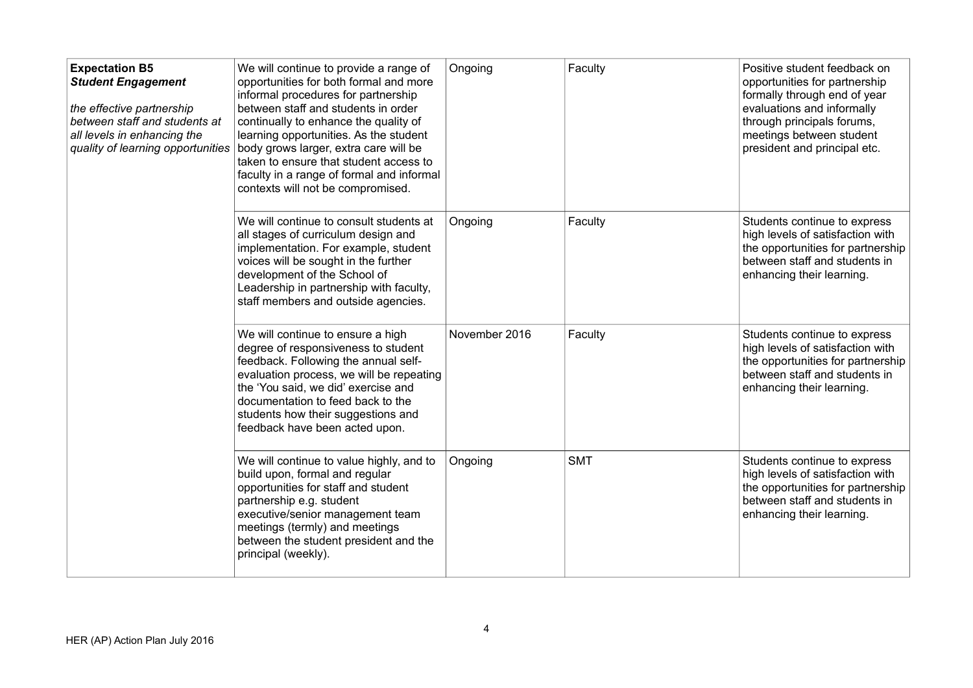| <b>Expectation B5</b><br><b>Student Engagement</b><br>the effective partnership<br>between staff and students at<br>all levels in enhancing the<br>quality of learning opportunities | We will continue to provide a range of<br>opportunities for both formal and more<br>informal procedures for partnership<br>between staff and students in order<br>continually to enhance the quality of<br>learning opportunities. As the student<br>body grows larger, extra care will be<br>taken to ensure that student access to<br>faculty in a range of formal and informal<br>contexts will not be compromised. | Ongoing       | Faculty    | Positive student feedback on<br>opportunities for partnership<br>formally through end of year<br>evaluations and informally<br>through principals forums,<br>meetings between student<br>president and principal etc. |
|--------------------------------------------------------------------------------------------------------------------------------------------------------------------------------------|------------------------------------------------------------------------------------------------------------------------------------------------------------------------------------------------------------------------------------------------------------------------------------------------------------------------------------------------------------------------------------------------------------------------|---------------|------------|-----------------------------------------------------------------------------------------------------------------------------------------------------------------------------------------------------------------------|
|                                                                                                                                                                                      | We will continue to consult students at<br>all stages of curriculum design and<br>implementation. For example, student<br>voices will be sought in the further<br>development of the School of<br>Leadership in partnership with faculty,<br>staff members and outside agencies.                                                                                                                                       | Ongoing       | Faculty    | Students continue to express<br>high levels of satisfaction with<br>the opportunities for partnership<br>between staff and students in<br>enhancing their learning.                                                   |
|                                                                                                                                                                                      | We will continue to ensure a high<br>degree of responsiveness to student<br>feedback. Following the annual self-<br>evaluation process, we will be repeating<br>the 'You said, we did' exercise and<br>documentation to feed back to the<br>students how their suggestions and<br>feedback have been acted upon.                                                                                                       | November 2016 | Faculty    | Students continue to express<br>high levels of satisfaction with<br>the opportunities for partnership<br>between staff and students in<br>enhancing their learning.                                                   |
|                                                                                                                                                                                      | We will continue to value highly, and to<br>build upon, formal and regular<br>opportunities for staff and student<br>partnership e.g. student<br>executive/senior management team<br>meetings (termly) and meetings<br>between the student president and the<br>principal (weekly).                                                                                                                                    | Ongoing       | <b>SMT</b> | Students continue to express<br>high levels of satisfaction with<br>the opportunities for partnership<br>between staff and students in<br>enhancing their learning.                                                   |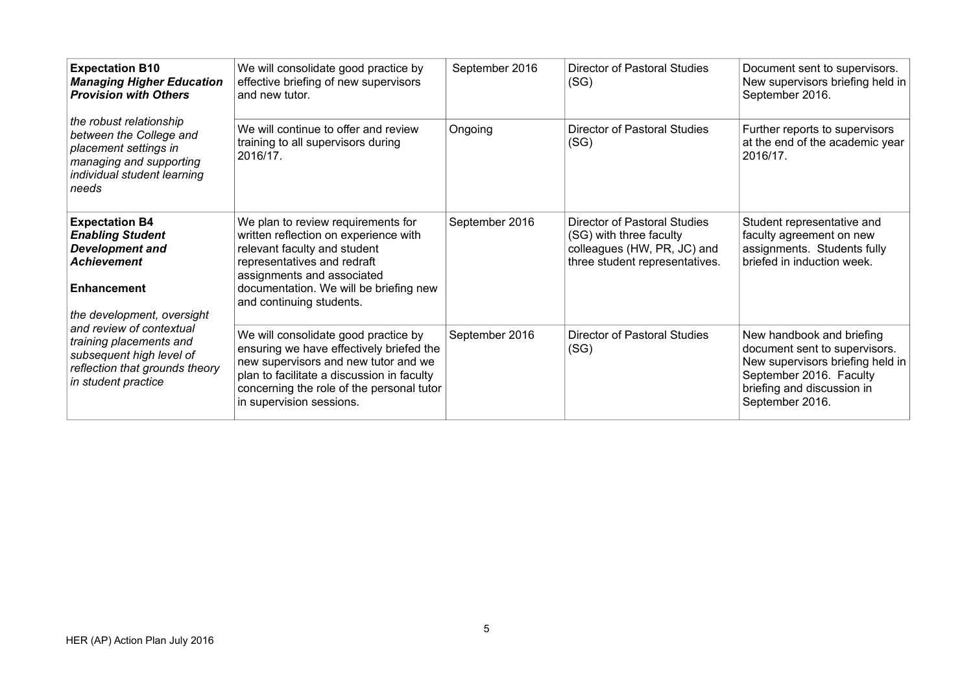| <b>Expectation B10</b><br><b>Managing Higher Education</b><br><b>Provision with Others</b>                                                           | We will consolidate good practice by<br>effective briefing of new supervisors<br>and new tutor.                                                                                                                                                 | September 2016 | <b>Director of Pastoral Studies</b><br>(SG)                                                                              | Document sent to supervisors.<br>New supervisors briefing held in<br>September 2016.                                                                                       |
|------------------------------------------------------------------------------------------------------------------------------------------------------|-------------------------------------------------------------------------------------------------------------------------------------------------------------------------------------------------------------------------------------------------|----------------|--------------------------------------------------------------------------------------------------------------------------|----------------------------------------------------------------------------------------------------------------------------------------------------------------------------|
| the robust relationship<br>between the College and<br>placement settings in<br>managing and supporting<br>individual student learning<br>needs       | We will continue to offer and review<br>training to all supervisors during<br>2016/17.                                                                                                                                                          | Ongoing        | <b>Director of Pastoral Studies</b><br>(SG)                                                                              | Further reports to supervisors<br>at the end of the academic year<br>2016/17.                                                                                              |
| <b>Expectation B4</b><br><b>Enabling Student</b><br><b>Development and</b><br><b>Achievement</b><br><b>Enhancement</b><br>the development, oversight | We plan to review requirements for<br>written reflection on experience with<br>relevant faculty and student<br>representatives and redraft<br>assignments and associated<br>documentation. We will be briefing new<br>and continuing students.  | September 2016 | Director of Pastoral Studies<br>(SG) with three faculty<br>colleagues (HW, PR, JC) and<br>three student representatives. | Student representative and<br>faculty agreement on new<br>assignments. Students fully<br>briefed in induction week.                                                        |
| and review of contextual<br>training placements and<br>subsequent high level of<br>reflection that grounds theory<br>in student practice             | We will consolidate good practice by<br>ensuring we have effectively briefed the<br>new supervisors and new tutor and we<br>plan to facilitate a discussion in faculty<br>concerning the role of the personal tutor<br>in supervision sessions. | September 2016 | Director of Pastoral Studies<br>(SG)                                                                                     | New handbook and briefing<br>document sent to supervisors.<br>New supervisors briefing held in<br>September 2016. Faculty<br>briefing and discussion in<br>September 2016. |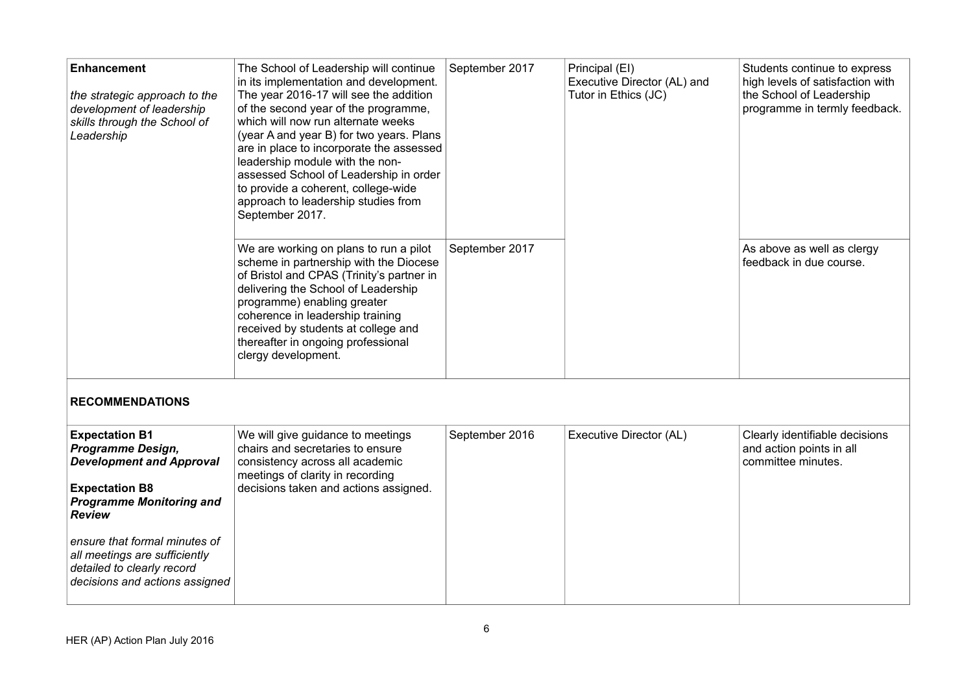| <b>Enhancement</b><br>the strategic approach to the<br>development of leadership<br>skills through the School of<br>Leadership | The School of Leadership will continue<br>in its implementation and development.<br>The year 2016-17 will see the addition<br>of the second year of the programme,<br>which will now run alternate weeks<br>(year A and year B) for two years. Plans<br>are in place to incorporate the assessed<br>leadership module with the non-<br>assessed School of Leadership in order<br>to provide a coherent, college-wide<br>approach to leadership studies from<br>September 2017. | September 2017 | Principal (EI)<br>Executive Director (AL) and<br>Tutor in Ethics (JC) | Students continue to express<br>high levels of satisfaction with<br>the School of Leadership<br>programme in termly feedback. |
|--------------------------------------------------------------------------------------------------------------------------------|--------------------------------------------------------------------------------------------------------------------------------------------------------------------------------------------------------------------------------------------------------------------------------------------------------------------------------------------------------------------------------------------------------------------------------------------------------------------------------|----------------|-----------------------------------------------------------------------|-------------------------------------------------------------------------------------------------------------------------------|
| <b>RECOMMENDATIONS</b>                                                                                                         | We are working on plans to run a pilot<br>scheme in partnership with the Diocese<br>of Bristol and CPAS (Trinity's partner in<br>delivering the School of Leadership<br>programme) enabling greater<br>coherence in leadership training<br>received by students at college and<br>thereafter in ongoing professional<br>clergy development.                                                                                                                                    | September 2017 |                                                                       | As above as well as clergy<br>feedback in due course.                                                                         |
| <b>Expectation B1</b><br>Programme Design,                                                                                     | We will give guidance to meetings<br>chairs and secretaries to ensure                                                                                                                                                                                                                                                                                                                                                                                                          | September 2016 | Executive Director (AL)                                               | Clearly identifiable decisions<br>and action points in all                                                                    |
| <b>Development and Approval</b>                                                                                                | consistency across all academic<br>meetings of clarity in recording                                                                                                                                                                                                                                                                                                                                                                                                            |                |                                                                       | committee minutes.                                                                                                            |
| <b>Expectation B8</b><br><b>Programme Monitoring and</b><br><b>Review</b>                                                      | decisions taken and actions assigned.                                                                                                                                                                                                                                                                                                                                                                                                                                          |                |                                                                       |                                                                                                                               |
| ensure that formal minutes of<br>all meetings are sufficiently<br>detailed to clearly record<br>decisions and actions assigned |                                                                                                                                                                                                                                                                                                                                                                                                                                                                                |                |                                                                       |                                                                                                                               |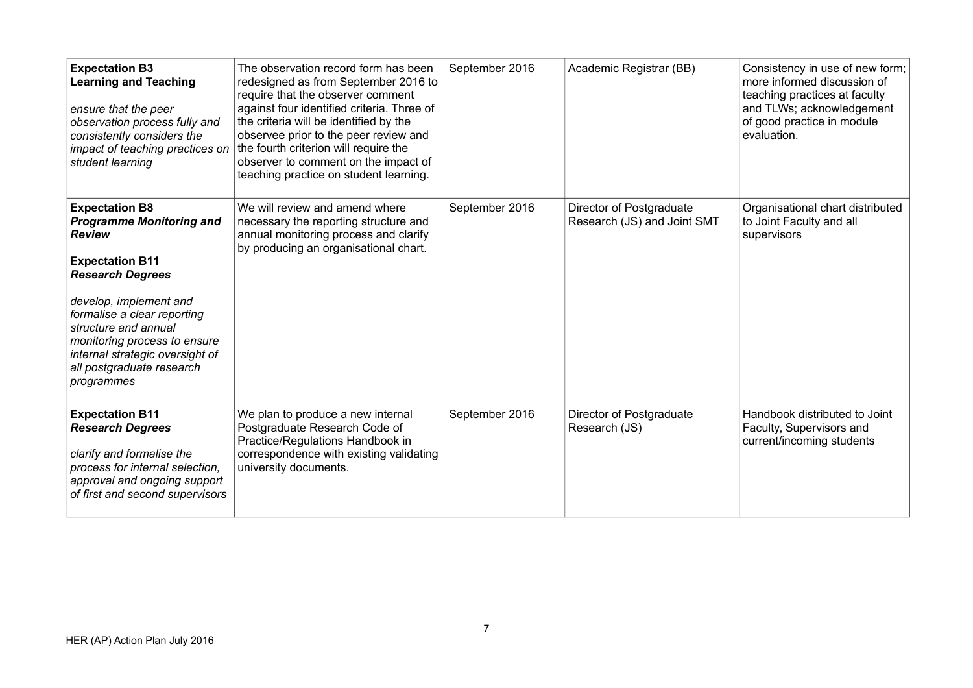| <b>Expectation B3</b><br><b>Learning and Teaching</b><br>ensure that the peer<br>observation process fully and<br>consistently considers the<br>impact of teaching practices on<br>student learning                                                                                                                           | The observation record form has been<br>redesigned as from September 2016 to<br>require that the observer comment<br>against four identified criteria. Three of<br>the criteria will be identified by the<br>observee prior to the peer review and<br>the fourth criterion will require the<br>observer to comment on the impact of<br>teaching practice on student learning. | September 2016 | Academic Registrar (BB)                                 | Consistency in use of new form;<br>more informed discussion of<br>teaching practices at faculty<br>and TLWs; acknowledgement<br>of good practice in module<br>evaluation. |
|-------------------------------------------------------------------------------------------------------------------------------------------------------------------------------------------------------------------------------------------------------------------------------------------------------------------------------|-------------------------------------------------------------------------------------------------------------------------------------------------------------------------------------------------------------------------------------------------------------------------------------------------------------------------------------------------------------------------------|----------------|---------------------------------------------------------|---------------------------------------------------------------------------------------------------------------------------------------------------------------------------|
| <b>Expectation B8</b><br><b>Programme Monitoring and</b><br><b>Review</b><br><b>Expectation B11</b><br><b>Research Degrees</b><br>develop, implement and<br>formalise a clear reporting<br>structure and annual<br>monitoring process to ensure<br>internal strategic oversight of<br>all postgraduate research<br>programmes | We will review and amend where<br>necessary the reporting structure and<br>annual monitoring process and clarify<br>by producing an organisational chart.                                                                                                                                                                                                                     | September 2016 | Director of Postgraduate<br>Research (JS) and Joint SMT | Organisational chart distributed<br>to Joint Faculty and all<br>supervisors                                                                                               |
| <b>Expectation B11</b><br><b>Research Degrees</b><br>clarify and formalise the<br>process for internal selection,<br>approval and ongoing support<br>of first and second supervisors                                                                                                                                          | We plan to produce a new internal<br>Postgraduate Research Code of<br>Practice/Regulations Handbook in<br>correspondence with existing validating<br>university documents.                                                                                                                                                                                                    | September 2016 | Director of Postgraduate<br>Research (JS)               | Handbook distributed to Joint<br>Faculty, Supervisors and<br>current/incoming students                                                                                    |